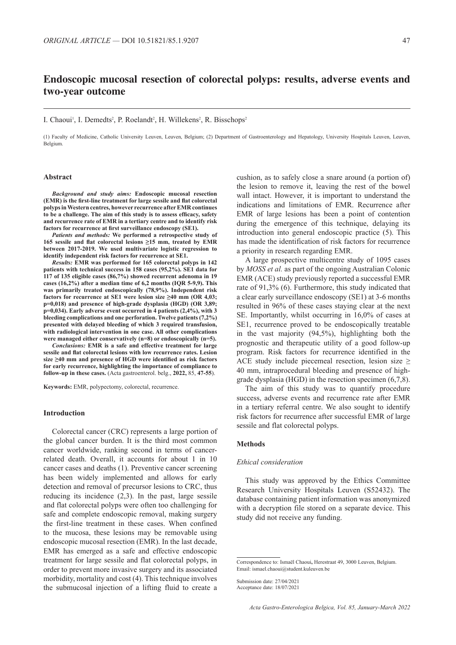# **Endoscopic mucosal resection of colorectal polyps: results, adverse events and two-year outcome**

#### I. Chaoui<sup>1</sup>, I. Demedts<sup>2</sup>, P. Roelandt<sup>2</sup>, H. Willekens<sup>2</sup>, R. Bisschops<sup>2</sup>

(1) Faculty of Medicine, Catholic University Leuven, Leuven, Belgium; (2) Department of Gastroenterology and Hepatology, University Hospitals Leuven, Leuven, Belgium.

#### **Abstract**

*Background and study aims:* **Endoscopic mucosal resection (EMR) is the first-line treatment for large sessile and flat colorectal polyps in Western centres, however recurrence after EMR continues to be a challenge. The aim of this study is to assess efficacy, safety and recurrence rate of EMR in a tertiary centre and to identify risk factors for recurrence at first surveillance endoscopy (SE1).**

*Patients and methods:* **We performed a retrospective study of 165 sessile and flat colorectal lesions ≥15 mm, treated by EMR between 2017-2019. We used multivariate logistic regression to identify independent risk factors for recurrence at SE1.**

*Results:* **EMR was performed for 165 colorectal polyps in 142 patients with technical success in 158 cases (95,2%). SE1 data for 117 of 135 eligible cases (86,7%) showed recurrent adenoma in 19 cases (16,2%) after a median time of 6,2 months (IQR 5-9,9). This was primarily treated endoscopically (78,9%). Independent risk factors for recurrence at SE1 were lesion size ≥40 mm (OR 4,03; p=0,018) and presence of high-grade dysplasia (HGD) (OR 3,89; p=0,034). Early adverse event occurred in 4 patients (2,4%), with 3 bleeding complications and one perforation. Twelve patients (7,2%) presented with delayed bleeding of which 3 required transfusion, with radiological intervention in one case. All other complications were managed either conservatively (n=8) or endoscopically (n=5).**

*Conclusions:* **EMR is a safe and effective treatment for large sessile and flat colorectal lesions with low recurrence rates. Lesion size ≥40 mm and presence of HGD were identified as risk factors for early recurrence, highlighting the importance of compliance to follow-up in these cases.** (Acta gastroenterol. belg., **2022,** 85, **47-55**).

**Keywords:** EMR, polypectomy, colorectal, recurrence.

#### **Introduction**

Colorectal cancer (CRC) represents a large portion of the global cancer burden. It is the third most common cancer worldwide, ranking second in terms of cancerrelated death. Overall, it accounts for about 1 in 10 cancer cases and deaths (1). Preventive cancer screening has been widely implemented and allows for early detection and removal of precursor lesions to CRC, thus reducing its incidence (2,3). In the past, large sessile and flat colorectal polyps were often too challenging for safe and complete endoscopic removal, making surgery the first-line treatment in these cases. When confined to the mucosa, these lesions may be removable using endoscopic mucosal resection (EMR). In the last decade, EMR has emerged as a safe and effective endoscopic treatment for large sessile and flat colorectal polyps, in order to prevent more invasive surgery and its associated morbidity, mortality and cost (4). This technique involves the submucosal injection of a lifting fluid to create a

cushion, as to safely close a snare around (a portion of) the lesion to remove it, leaving the rest of the bowel wall intact. However, it is important to understand the indications and limitations of EMR. Recurrence after EMR of large lesions has been a point of contention during the emergence of this technique, delaying its introduction into general endoscopic practice (5). This has made the identification of risk factors for recurrence a priority in research regarding EMR.

A large prospective multicentre study of 1095 cases by *MOSS et al.* as part of the ongoing Australian Colonic EMR (ACE) study previously reported a successful EMR rate of 91,3% (6). Furthermore, this study indicated that a clear early surveillance endoscopy (SE1) at 3-6 months resulted in 96% of these cases staying clear at the next SE. Importantly, whilst occurring in 16,0% of cases at SE1, recurrence proved to be endoscopically treatable in the vast majority (94,5%), highlighting both the prognostic and therapeutic utility of a good follow-up program. Risk factors for recurrence identified in the ACE study include piecemeal resection, lesion size  $\geq$ 40 mm, intraprocedural bleeding and presence of highgrade dysplasia (HGD) in the resection specimen (6,7,8).

The aim of this study was to quantify procedure success, adverse events and recurrence rate after EMR in a tertiary referral centre. We also sought to identify risk factors for recurrence after successful EMR of large sessile and flat colorectal polyps.

#### **Methods**

#### *Ethical consideration*

This study was approved by the Ethics Committee Research University Hospitals Leuven (S52432). The database containing patient information was anonymized with a decryption file stored on a separate device. This study did not receive any funding.

Submission date: 27/04/2021 Acceptance date: 18/07/2021

Correspondence to: Ismaël Chaoui**,** Herestraat 49, 3000 Leuven, Belgium. Email: ismael.chaoui@student.kuleuven.be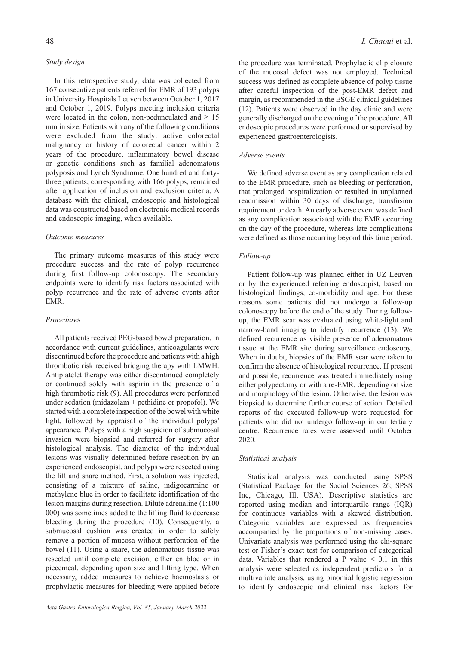## *Study design*

In this retrospective study, data was collected from 167 consecutive patients referred for EMR of 193 polyps in University Hospitals Leuven between October 1, 2017 and October 1, 2019. Polyps meeting inclusion criteria were located in the colon, non-pedunculated and  $\geq 15$ mm in size. Patients with any of the following conditions were excluded from the study: active colorectal malignancy or history of colorectal cancer within 2 years of the procedure, inflammatory bowel disease or genetic conditions such as familial adenomatous polyposis and Lynch Syndrome. One hundred and fortythree patients, corresponding with 166 polyps, remained after application of inclusion and exclusion criteria. A database with the clinical, endoscopic and histological data was constructed based on electronic medical records and endoscopic imaging, when available.

## *Outcome measures*

The primary outcome measures of this study were procedure success and the rate of polyp recurrence during first follow-up colonoscopy. The secondary endpoints were to identify risk factors associated with polyp recurrence and the rate of adverse events after EMR.

#### *Procedure*s

All patients received PEG-based bowel preparation. In accordance with current guidelines, anticoagulants were discontinued before the procedure and patients with a high thrombotic risk received bridging therapy with LMWH. Antiplatelet therapy was either discontinued completely or continued solely with aspirin in the presence of a high thrombotic risk (9). All procedures were performed under sedation (midazolam + pethidine or propofol). We started with a complete inspection of the bowel with white light, followed by appraisal of the individual polyps' appearance. Polyps with a high suspicion of submucosal invasion were biopsied and referred for surgery after histological analysis. The diameter of the individual lesions was visually determined before resection by an experienced endoscopist, and polyps were resected using the lift and snare method. First, a solution was injected, consisting of a mixture of saline, indigocarmine or methylene blue in order to facilitate identification of the lesion margins during resection. Dilute adrenaline (1:100 000) was sometimes added to the lifting fluid to decrease bleeding during the procedure (10). Consequently, a submucosal cushion was created in order to safely remove a portion of mucosa without perforation of the bowel (11). Using a snare, the adenomatous tissue was resected until complete excision, either en bloc or in piecemeal, depending upon size and lifting type. When necessary, added measures to achieve haemostasis or prophylactic measures for bleeding were applied before

the procedure was terminated. Prophylactic clip closure of the mucosal defect was not employed. Technical success was defined as complete absence of polyp tissue after careful inspection of the post-EMR defect and margin, as recommended in the ESGE clinical guidelines (12). Patients were observed in the day clinic and were generally discharged on the evening of the procedure. All endoscopic procedures were performed or supervised by experienced gastroenterologists.

# *Adverse events*

We defined adverse event as any complication related to the EMR procedure, such as bleeding or perforation, that prolonged hospitalization or resulted in unplanned readmission within 30 days of discharge, transfusion requirement or death. An early adverse event was defined as any complication associated with the EMR occurring on the day of the procedure, whereas late complications were defined as those occurring beyond this time period.

## *Follow-up*

Patient follow-up was planned either in UZ Leuven or by the experienced referring endoscopist, based on histological findings, co-morbidity and age. For these reasons some patients did not undergo a follow-up colonoscopy before the end of the study. During followup, the EMR scar was evaluated using white-light and narrow-band imaging to identify recurrence (13). We defined recurrence as visible presence of adenomatous tissue at the EMR site during surveillance endoscopy. When in doubt, biopsies of the EMR scar were taken to confirm the absence of histological recurrence. If present and possible, recurrence was treated immediately using either polypectomy or with a re-EMR, depending on size and morphology of the lesion. Otherwise, the lesion was biopsied to determine further course of action. Detailed reports of the executed follow-up were requested for patients who did not undergo follow-up in our tertiary centre. Recurrence rates were assessed until October 2020.

## *Statistical analysis*

Statistical analysis was conducted using SPSS (Statistical Package for the Social Sciences 26; SPSS Inc, Chicago, Ill, USA). Descriptive statistics are reported using median and interquartile range (IQR) for continuous variables with a skewed distribution. Categoric variables are expressed as frequencies accompanied by the proportions of non-missing cases. Univariate analysis was performed using the chi-square test or Fisher's exact test for comparison of categorical data. Variables that rendered a P value  $\leq 0.1$  in this analysis were selected as independent predictors for a multivariate analysis, using binomial logistic regression to identify endoscopic and clinical risk factors for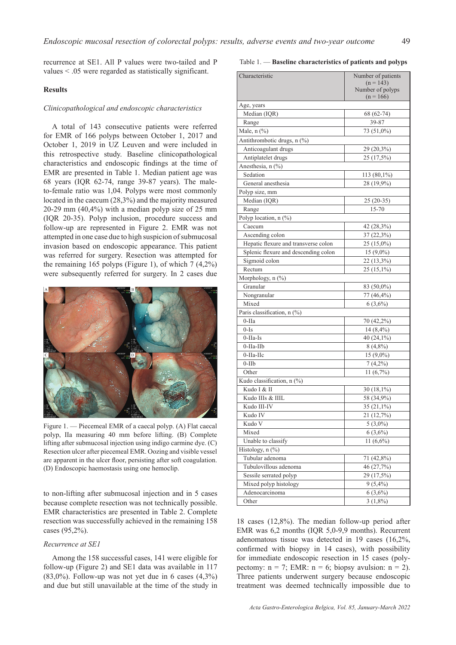recurrence at SE1. All P values were two-tailed and P values < .05 were regarded as statistically significant.

## **Results**

## *Clinicopathological and endoscopic characteristics*

A total of 143 consecutive patients were referred for EMR of 166 polyps between October 1, 2017 and October 1, 2019 in UZ Leuven and were included in this retrospective study. Baseline clinicopathological characteristics and endoscopic findings at the time of EMR are presented in Table 1. Median patient age was 68 years (IQR 62-74, range 39-87 years). The maleto-female ratio was 1,04. Polyps were most commonly located in the caecum (28,3%) and the majority measured 20-29 mm (40,4%) with a median polyp size of 25 mm (IQR 20-35). Polyp inclusion, procedure success and follow-up are represented in Figure 2. EMR was not attempted in one case due to high suspicion of submucosal invasion based on endoscopic appearance. This patient was referred for surgery. Resection was attempted for the remaining 165 polyps (Figure 1), of which  $7(4.2\%)$ were subsequently referred for surgery. In 2 cases due



Figure 1. — Piecemeal EMR of a caecal polyp. (A) Flat caecal polyp, IIa measuring 40 mm before lifting. (B) Complete lifting after submucosal injection using indigo carmine dye. (C) Resection ulcer after piecemeal EMR. Oozing and visible vessel are apparent in the ulcer floor, persisting after soft coagulation. (D) Endoscopic haemostasis using one hemoclip.

to non-lifting after submucosal injection and in 5 cases because complete resection was not technically possible. EMR characteristics are presented in Table 2. Complete resection was successfully achieved in the remaining 158 cases (95,2%).

## *Recurrence at SE1*

Among the 158 successful cases, 141 were eligible for follow-up (Figure 2) and SE1 data was available in 117  $(83,0\%)$ . Follow-up was not yet due in 6 cases  $(4,3\%)$ and due but still unavailable at the time of the study in

Table 1. — **Baseline characteristics of patients and polyps**

| Characteristic                       | Number of patients              |  |  |  |
|--------------------------------------|---------------------------------|--|--|--|
|                                      | $(n = 143)$                     |  |  |  |
|                                      | Number of polyps<br>$(n = 166)$ |  |  |  |
| Age, years                           |                                 |  |  |  |
| Median (IQR)                         | 68 (62-74)                      |  |  |  |
| Range                                | 39-87                           |  |  |  |
| Male, n (%)                          | 73 (51,0%)                      |  |  |  |
| Antithrombotic drugs, n (%)          |                                 |  |  |  |
| Anticoagulant drugs                  | 29 (20,3%)                      |  |  |  |
| Antiplatelet drugs                   | 25 (17,5%)                      |  |  |  |
| Anesthesia, n (%)                    |                                 |  |  |  |
| Sedation                             | 113 (80,1%)                     |  |  |  |
| General anesthesia                   | 28 (19,9%)                      |  |  |  |
|                                      |                                 |  |  |  |
| Polyp size, mm<br>Median (IQR)       |                                 |  |  |  |
|                                      | $25(20-35)$                     |  |  |  |
| Range<br>Polyp location, n (%)       | 15-70                           |  |  |  |
| Caecum                               | 42 (28,3%)                      |  |  |  |
| Ascending colon                      |                                 |  |  |  |
| Hepatic flexure and transverse colon | 37 (22,3%)                      |  |  |  |
| Splenic flexure and descending colon | $25(15,0\%)$                    |  |  |  |
|                                      | $15(9,0\%)$                     |  |  |  |
| Sigmoid colon                        | 22 (13,3%)                      |  |  |  |
| Rectum                               | $25(15,1\%)$                    |  |  |  |
| Morphology, n (%)                    |                                 |  |  |  |
| Granular                             | 83 (50,0%)                      |  |  |  |
| Nongranular                          | 77 (46,4%)                      |  |  |  |
| Mixed                                | $6(3,6\%)$                      |  |  |  |
| Paris classification, n (%)          |                                 |  |  |  |
| $0-IIa$                              | 70 (42,2%)                      |  |  |  |
| $0-Is$                               | $14(8,4\%)$                     |  |  |  |
| $0$ -IIa-Is                          | 40 (24,1%)                      |  |  |  |
| $0$ -IIa-IIb                         | $8(4,8\%)$                      |  |  |  |
| $0$ -IIa-IIc                         | $15(9,0\%)$                     |  |  |  |
| $0$ -IIb                             | $7(4,2\%)$                      |  |  |  |
| Other                                | 11(6,7%)                        |  |  |  |
| Kudo classification, n (%)           |                                 |  |  |  |
| Kudo I & II                          | $30(18,1\%)$                    |  |  |  |
| Kudo IIIs & IIIL                     | 58 (34,9%)                      |  |  |  |
| Kudo III-IV                          | $35(21,1\%)$                    |  |  |  |
| Kudo IV                              | 21 (12,7%)                      |  |  |  |
| Kudo V                               | $5(3,0\%)$                      |  |  |  |
| Mixed                                | $6(3,6\%)$                      |  |  |  |
| Unable to classify                   | $11(6,6\%)$                     |  |  |  |
| Histology, n (%)                     |                                 |  |  |  |
| Tubular adenoma                      | 71 (42,8%)                      |  |  |  |
| Tubulovillous adenoma                | 46 (27,7%)                      |  |  |  |
| Sessile serrated polyp               | 29 (17,5%)                      |  |  |  |
| Mixed polyp histology                | $9(5,4\%)$                      |  |  |  |
| Adenocarcinoma                       | $6(3,6\%)$                      |  |  |  |
| Other                                | $3(1,8\%)$                      |  |  |  |

18 cases (12,8%). The median follow-up period after EMR was 6,2 months (IQR 5,0-9,9 months). Recurrent adenomatous tissue was detected in 19 cases (16,2%, confirmed with biopsy in 14 cases), with possibility for immediate endoscopic resection in 15 cases (polypectomy:  $n = 7$ ; EMR:  $n = 6$ ; biopsy avulsion:  $n = 2$ ). Three patients underwent surgery because endoscopic treatment was deemed technically impossible due to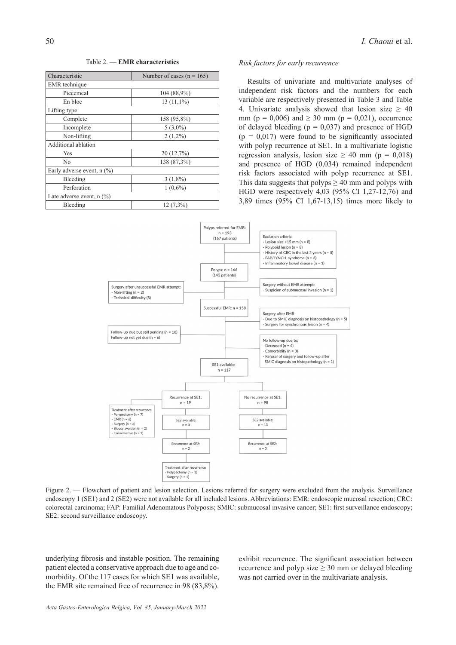Table 2. — **EMR characteristics**

| Characteristic                 | Number of cases ( $n = 165$ ) |
|--------------------------------|-------------------------------|
| <b>EMR</b> technique           |                               |
| Piecemeal                      | 104 (88,9%)                   |
| En bloc                        | $13(11,1\%)$                  |
| Lifting type                   |                               |
| Complete                       | 158 (95,8%)                   |
| Incomplete                     | $5(3,0\%)$                    |
| Non-lifting                    | $2(1,2\%)$                    |
| Additional ablation            |                               |
| Yes                            | 20(12,7%)                     |
| No                             | 138 (87,3%)                   |
| Early adverse event, $n$ (%)   |                               |
| Bleeding                       | $3(1,8\%)$                    |
| Perforation                    | $1(0.6\%)$                    |
| Late adverse event, $n$ $(\%)$ |                               |
| Bleeding                       | $12(7,3\%)$                   |

## *Risk factors for early recurrence*

Results of univariate and multivariate analyses of independent risk factors and the numbers for each variable are respectively presented in Table 3 and Table 4. Univariate analysis showed that lesion size  $\geq$  40 mm ( $p = 0.006$ ) and  $\geq 30$  mm ( $p = 0.021$ ), occurrence of delayed bleeding  $(p = 0.037)$  and presence of HGD  $(p = 0.017)$  were found to be significantly associated with polyp recurrence at SE1. In a multivariate logistic regression analysis, lesion size  $\geq$  40 mm (p = 0,018) and presence of HGD (0,034) remained independent risk factors associated with polyp recurrence at SE1. This data suggests that polyps  $\geq 40$  mm and polyps with HGD were respectively 4,03 (95% CI 1,27-12,76) and 3,89 times (95% CI 1,67-13,15) times more likely to



Figure 2. — Flowchart of patient and lesion selection. Lesions referred for surgery were excluded from the analysis. Surveillance endoscopy 1 (SE1) and 2 (SE2) were not available for all included lesions. Abbreviations: EMR: endoscopic mucosal resection; CRC: colorectal carcinoma; FAP: Familial Adenomatous Polyposis; SMIC: submucosal invasive cancer; SE1: first surveillance endoscopy; SE2: second surveillance endoscopy.

underlying fibrosis and instable position. The remaining patient elected a conservative approach due to age and comorbidity. Of the 117 cases for which SE1 was available, the EMR site remained free of recurrence in 98 (83,8%).

exhibit recurrence. The significant association between recurrence and polyp size  $\geq$  30 mm or delayed bleeding was not carried over in the multivariate analysis.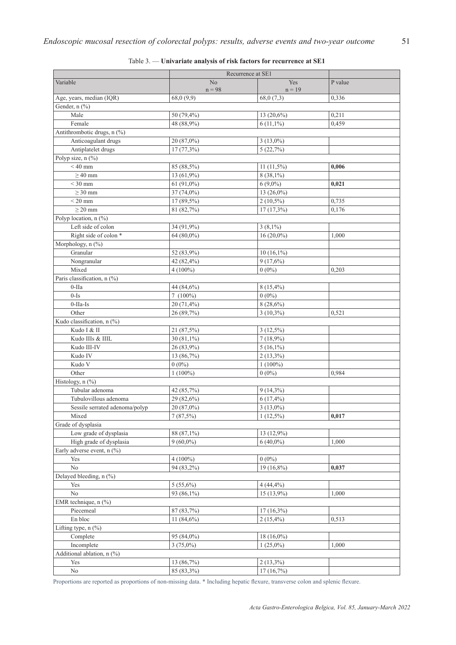|                                | Recurrence at SE1      |                           |         |  |  |
|--------------------------------|------------------------|---------------------------|---------|--|--|
| Variable                       | No<br>$n = 98$         | Yes<br>$n = 19$           | P value |  |  |
| Age, years, median (IQR)       | 68,0(9,9)              | 68,0 (7,3)                | 0,336   |  |  |
| Gender, n (%)                  |                        |                           |         |  |  |
| Male                           | 50 (79,4%)             | 13 (20,6%)                | 0,211   |  |  |
| Female                         | 48 (88,9%)             | $6(11,1\%)$               | 0,459   |  |  |
| Antithrombotic drugs, n (%)    |                        |                           |         |  |  |
| Anticoagulant drugs            | 20 (87,0%)             | $3(13,0\%)$               |         |  |  |
| Antiplatelet drugs             | $17(77,3\%)$           | 5(22,7%)                  |         |  |  |
| Polyp size, n (%)              |                        |                           |         |  |  |
| $\frac{1}{540}$ mm             | 85 (88,5%)             | $11(11,5\%)$              | 0,006   |  |  |
| $\geq 40$ mm                   | 13 (61,9%)             | $8(38,1\%)$               |         |  |  |
| $<$ 30 mm                      | 61 $(91,0\%)$          | $6(9,0\%)$                | 0,021   |  |  |
| $\geq$ 30 mm                   | 37 (74,0%)             | 13 (26,0%)                |         |  |  |
| $<$ 20 mm                      | 17 (89,5%)             | $2(10,5\%)$               | 0,735   |  |  |
| $\geq 20$ mm                   | 81 (82,7%)             | $17(17,3\%)$              | 0,176   |  |  |
| Polyp location, n (%)          |                        |                           |         |  |  |
| Left side of colon             | 34 (91,9%)             | $3(8,1\%)$                |         |  |  |
| Right side of colon *          | $64(80,0\%)$           | $16(20,0\%)$              | 1,000   |  |  |
| Morphology, n (%)              |                        |                           |         |  |  |
| Granular                       | 52 (83,9%)             | $10(16,1\%)$              |         |  |  |
| Nongranular                    | 42 (82,4%)             | 9(17,6%)                  |         |  |  |
| Mixed                          | $4(100\%)$             | $0(0\%)$                  | 0,203   |  |  |
| Paris classification, n (%)    |                        |                           |         |  |  |
| $0-IIa$                        | 44 (84,6%)             | 8 (15,4%)                 |         |  |  |
| $0-Is$                         | $7(100\%)$             | $0(0\%)$                  |         |  |  |
| $0$ -IIa-Is                    | 20 (71,4%)             | $8(28,6\%)$               |         |  |  |
| Other                          | 26 (89,7%)             | $3(10,3\%)$               | 0,521   |  |  |
| Kudo classification, n (%)     |                        |                           |         |  |  |
| Kudo I & II                    | 21 (87,5%)             | $3(12,5\%)$               |         |  |  |
| Kudo IIIs & IIIL               | 30 (81,1%)             | $7(18,9\%)$               |         |  |  |
| Kudo III-IV                    |                        | $5(16,1\%)$               |         |  |  |
| Kudo IV                        | 26 (83,9%)             |                           |         |  |  |
| Kudo V                         | 13 (86,7%)<br>$0(0\%)$ | $2(13,3\%)$<br>$1(100\%)$ |         |  |  |
| Other                          | $1(100\%)$             | $0(0\%)$                  | 0.984   |  |  |
| Histology, n (%)               |                        |                           |         |  |  |
| Tubular adenoma                |                        |                           |         |  |  |
|                                | 42 (85,7%)             | $9(14,3\%)$               |         |  |  |
| Tubulovillous adenoma          | 29 (82,6%)             | $6(17, 4\%)$              |         |  |  |
| Sessile serrated adenoma/polyp | 20 (87,0%)             | $3(13,0\%)$               |         |  |  |
| Mixed                          | 7(87,5%)               | $1(12,5\%)$               | 0,017   |  |  |
| Grade of dysplasia             |                        |                           |         |  |  |
| Low grade of dysplasia         | 88 (87,1%)             | 13 (12,9%)                |         |  |  |
| High grade of dysplasia        | $9(60,0\%)$            | $6(40,0\%)$               | 1,000   |  |  |
| Early adverse event, n (%)     |                        |                           |         |  |  |
| Yes                            | $4(100\%)$             | $0(0\%)$                  |         |  |  |
| $\rm No$                       | 94 (83,2%)             | 19 (16,8%)                | 0,037   |  |  |
| Delayed bleeding, n (%)        |                        |                           |         |  |  |
| Yes                            | $5(55,6\%)$            | $4(44, 4\%)$              |         |  |  |
| $\rm No$                       | 93 (86,1%)             | 15 (13,9%)                | 1,000   |  |  |
| EMR technique, n (%)           |                        |                           |         |  |  |
| Piecemeal                      | 87 (83,7%)             | $17(16,3\%)$              |         |  |  |
| En bloc                        | 11 $(84,6\%)$          | $2(15,4\%)$               | 0,513   |  |  |
| Lifting type, n (%)            |                        |                           |         |  |  |
| Complete                       | 95 (84,0%)             | 18 (16,0%)                |         |  |  |
| Incomplete                     | $3(75,0\%)$            | $1(25,0\%)$               | 1,000   |  |  |
| Additional ablation, n (%)     |                        |                           |         |  |  |
| Yes                            | 13 (86,7%)             | $2(13,3\%)$               |         |  |  |
| $\rm No$                       | 85 (83,3%)             | 17(16,7%)                 |         |  |  |

# Table 3. — **Univariate analysis of risk factors for recurrence at SE1**

Proportions are reported as proportions of non-missing data. \* Including hepatic flexure, transverse colon and splenic flexure.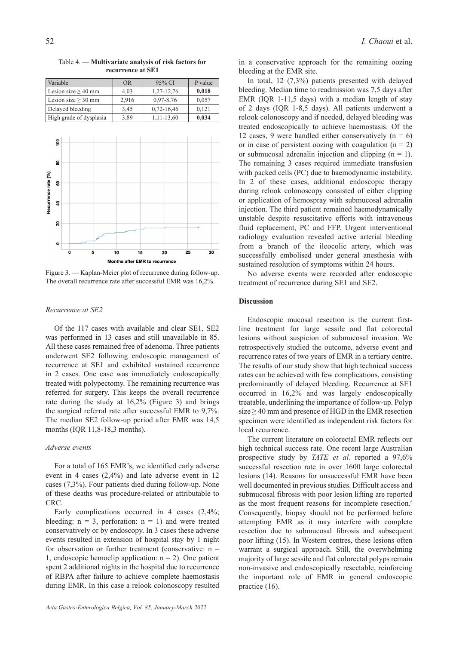Variable OR 95% CI P value Lesion size  $\geq 40$  mm  $4,03$  1,27-12,76 0,018 Lesion size  $\geq 30$  mm 2,916 0,97-8,76 0,057 Delayed bleeding 3,45 0,72-16,46 0,121 High grade of dysplasia  $\begin{array}{|c|c|c|c|c|} \hline 3,89 & 1,11-13,60 & \hline \end{array}$  0,034

Table 4. — **Multivariate analysis of risk factors for recurrence at SE1**



Figure 3. — Kaplan-Meier plot of recurrence during follow-up. The overall recurrence rate after successful EMR was 16,2%.

#### *Recurrence at SE2*

Of the 117 cases with available and clear SE1, SE2 was performed in 13 cases and still unavailable in 85. All these cases remained free of adenoma. Three patients underwent SE2 following endoscopic management of recurrence at SE1 and exhibited sustained recurrence in 2 cases. One case was immediately endoscopically treated with polypectomy. The remaining recurrence was referred for surgery. This keeps the overall recurrence rate during the study at 16,2% (Figure 3) and brings the surgical referral rate after successful EMR to 9,7%. The median SE2 follow-up period after EMR was 14,5 months (IQR 11,8-18,3 months).

# *Adverse events*

For a total of 165 EMR's, we identified early adverse event in 4 cases (2,4%) and late adverse event in 12 cases (7,3%). Four patients died during follow-up. None of these deaths was procedure-related or attributable to CRC.

Early complications occurred in 4 cases  $(2,4\%;$ bleeding:  $n = 3$ , perforation:  $n = 1$ ) and were treated conservatively or by endoscopy. In 3 cases these adverse events resulted in extension of hospital stay by 1 night for observation or further treatment (conservative:  $n =$ 1, endoscopic hemoclip application:  $n = 2$ ). One patient spent 2 additional nights in the hospital due to recurrence of RBPA after failure to achieve complete haemostasis during EMR. In this case a relook colonoscopy resulted

in a conservative approach for the remaining oozing bleeding at the EMR site.

In total, 12 (7,3%) patients presented with delayed bleeding. Median time to readmission was 7,5 days after EMR (IQR 1-11,5 days) with a median length of stay of 2 days (IQR 1-8,5 days). All patients underwent a relook colonoscopy and if needed, delayed bleeding was treated endoscopically to achieve haemostasis. Of the 12 cases, 9 were handled either conservatively  $(n = 6)$ or in case of persistent oozing with coagulation  $(n = 2)$ or submucosal adrenalin injection and clipping  $(n = 1)$ . The remaining 3 cases required immediate transfusion with packed cells (PC) due to haemodynamic instability. In 2 of these cases, additional endoscopic therapy during relook colonoscopy consisted of either clipping or application of hemospray with submucosal adrenalin injection. The third patient remained haemodynamically unstable despite resuscitative efforts with intravenous fluid replacement, PC and FFP. Urgent interventional radiology evaluation revealed active arterial bleeding from a branch of the ileocolic artery, which was successfully embolised under general anesthesia with sustained resolution of symptoms within 24 hours.

No adverse events were recorded after endoscopic treatment of recurrence during SE1 and SE2.

# **Discussion**

Endoscopic mucosal resection is the current firstline treatment for large sessile and flat colorectal lesions without suspicion of submucosal invasion. We retrospectively studied the outcome, adverse event and recurrence rates of two years of EMR in a tertiary centre. The results of our study show that high technical success rates can be achieved with few complications, consisting predominantly of delayed bleeding. Recurrence at SE1 occurred in 16,2% and was largely endoscopically treatable, underlining the importance of follow-up. Polyp size  $\geq$  40 mm and presence of HGD in the EMR resection specimen were identified as independent risk factors for local recurrence.

The current literature on colorectal EMR reflects our high technical success rate. One recent large Australian prospective study by *TATE et al.* reported a 97,6% successful resection rate in over 1600 large colorectal lesions (14). Reasons for unsuccessful EMR have been well documented in previous studies. Difficult access and submucosal fibrosis with poor lesion lifting are reported as the most frequent reasons for incomplete resection.<sup>6</sup> Consequently, biopsy should not be performed before attempting EMR as it may interfere with complete resection due to submucosal fibrosis and subsequent poor lifting (15). In Western centres, these lesions often warrant a surgical approach. Still, the overwhelming majority of large sessile and flat colorectal polyps remain non-invasive and endoscopically resectable, reinforcing the important role of EMR in general endoscopic practice (16).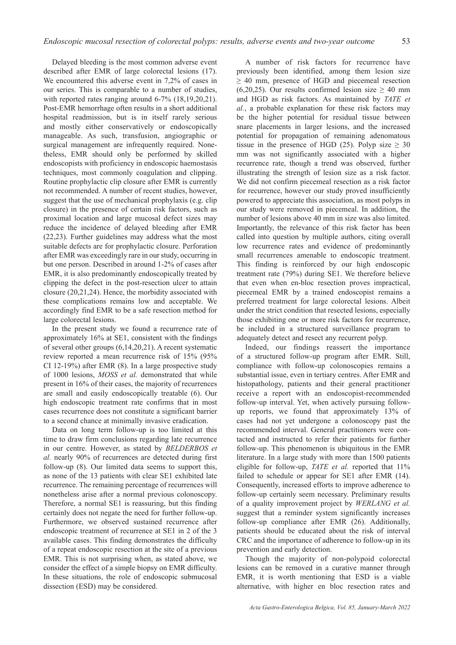Delayed bleeding is the most common adverse event described after EMR of large colorectal lesions (17). We encountered this adverse event in 7,2% of cases in our series. This is comparable to a number of studies, with reported rates ranging around 6-7% (18,19,20,21). Post-EMR hemorrhage often results in a short additional hospital readmission, but is in itself rarely serious and mostly either conservatively or endoscopically manageable. As such, transfusion, angiographic or surgical management are infrequently required. Nonetheless, EMR should only be performed by skilled endoscopists with proficiency in endoscopic haemostasis techniques, most commonly coagulation and clipping. Routine prophylactic clip closure after EMR is currently not recommended. A number of recent studies, however, suggest that the use of mechanical prophylaxis (e.g. clip closure) in the presence of certain risk factors, such as proximal location and large mucosal defect sizes may reduce the incidence of delayed bleeding after EMR (22,23). Further guidelines may address what the most suitable defects are for prophylactic closure. Perforation after EMR was exceedingly rare in our study, occurring in but one person. Described in around 1-2% of cases after EMR, it is also predominantly endoscopically treated by clipping the defect in the post-resection ulcer to attain closure (20,21,24). Hence, the morbidity associated with these complications remains low and acceptable. We accordingly find EMR to be a safe resection method for large colorectal lesions.

In the present study we found a recurrence rate of approximately 16% at SE1, consistent with the findings of several other groups (6,14,20,21). A recent systematic review reported a mean recurrence risk of 15% (95% CI 12-19%) after EMR (8). In a large prospective study of 1000 lesions, *MOSS et al.* demonstrated that while present in 16% of their cases, the majority of recurrences are small and easily endoscopically treatable (6). Our high endoscopic treatment rate confirms that in most cases recurrence does not constitute a significant barrier to a second chance at minimally invasive eradication.

Data on long term follow-up is too limited at this time to draw firm conclusions regarding late recurrence in our centre. However, as stated by *BELDERBOS et al.* nearly 90% of recurrences are detected during first follow-up (8). Our limited data seems to support this, as none of the 13 patients with clear SE1 exhibited late recurrence. The remaining percentage of recurrences will nonetheless arise after a normal previous colonoscopy. Therefore, a normal SE1 is reassuring, but this finding certainly does not negate the need for further follow-up. Furthermore, we observed sustained recurrence after endoscopic treatment of recurrence at SE1 in 2 of the 3 available cases. This finding demonstrates the difficulty of a repeat endoscopic resection at the site of a previous EMR. This is not surprising when, as stated above, we consider the effect of a simple biopsy on EMR difficulty. In these situations, the role of endoscopic submucosal dissection (ESD) may be considered.

A number of risk factors for recurrence have previously been identified, among them lesion size ≥ 40 mm, presence of HGD and piecemeal resection (6,20,25). Our results confirmed lesion size  $\geq$  40 mm and HGD as risk factors. As maintained by *TATE et al.*, a probable explanation for these risk factors may be the higher potential for residual tissue between snare placements in larger lesions, and the increased potential for propagation of remaining adenomatous tissue in the presence of HGD (25). Polyp size  $\geq$  30 mm was not significantly associated with a higher recurrence rate, though a trend was observed, further illustrating the strength of lesion size as a risk factor. We did not confirm piecemeal resection as a risk factor for recurrence, however our study proved insufficiently powered to appreciate this association, as most polyps in our study were removed in piecemeal. In addition, the number of lesions above 40 mm in size was also limited. Importantly, the relevance of this risk factor has been called into question by multiple authors, citing overall low recurrence rates and evidence of predominantly small recurrences amenable to endoscopic treatment. This finding is reinforced by our high endoscopic treatment rate (79%) during SE1. We therefore believe that even when en-bloc resection proves impractical, piecemeal EMR by a trained endoscopist remains a preferred treatment for large colorectal lesions. Albeit under the strict condition that resected lesions, especially those exhibiting one or more risk factors for recurrence, be included in a structured surveillance program to adequately detect and resect any recurrent polyp.

Indeed, our findings reassert the importance of a structured follow-up program after EMR. Still, compliance with follow-up colonoscopies remains a substantial issue, even in tertiary centres. After EMR and histopathology, patients and their general practitioner receive a report with an endoscopist-recommended follow-up interval. Yet, when actively pursuing followup reports, we found that approximately 13% of cases had not yet undergone a colonoscopy past the recommended interval. General practitioners were contacted and instructed to refer their patients for further follow-up. This phenomenon is ubiquitous in the EMR literature. In a large study with more than 1500 patients eligible for follow-up, *TATE et al.* reported that 11% failed to schedule or appear for SE1 after EMR (14). Consequently, increased efforts to improve adherence to follow-up certainly seem necessary. Preliminary results of a quality improvement project by *WERLANG et al.* suggest that a reminder system significantly increases follow-up compliance after EMR (26). Additionally, patients should be educated about the risk of interval CRC and the importance of adherence to follow-up in its prevention and early detection.

Though the majority of non-polypoid colorectal lesions can be removed in a curative manner through EMR, it is worth mentioning that ESD is a viable alternative, with higher en bloc resection rates and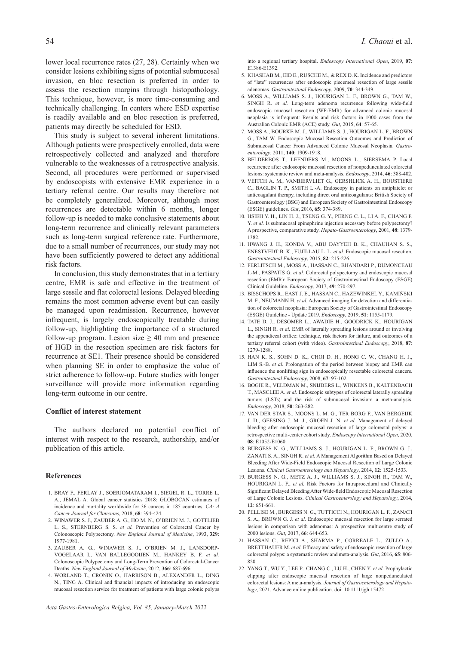lower local recurrence rates (27, 28). Certainly when we consider lesions exhibiting signs of potential submucosal invasion, en bloc resection is preferred in order to assess the resection margins through histopathology. This technique, however, is more time-consuming and technically challenging. In centers where ESD expertise is readily available and en bloc resection is preferred, patients may directly be scheduled for ESD.

This study is subject to several inherent limitations. Although patients were prospectively enrolled, data were retrospectively collected and analyzed and therefore vulnerable to the weaknesses of a retrospective analysis. Second, all procedures were performed or supervised by endoscopists with extensive EMR experience in a tertiary referral centre. Our results may therefore not be completely generalized. Moreover, although most recurrences are detectable within 6 months, longer follow-up is needed to make conclusive statements about long-term recurrence and clinically relevant parameters such as long-term surgical reference rate. Furthermore, due to a small number of recurrences, our study may not have been sufficiently powered to detect any additional risk factors.

In conclusion, this study demonstrates that in a tertiary centre, EMR is safe and effective in the treatment of large sessile and flat colorectal lesions. Delayed bleeding remains the most common adverse event but can easily be managed upon readmission. Recurrence, however infrequent, is largely endoscopically treatable during follow-up, highlighting the importance of a structured follow-up program. Lesion size  $\geq$  40 mm and presence of HGD in the resection specimen are risk factors for recurrence at SE1. Their presence should be considered when planning SE in order to emphasize the value of strict adherence to follow-up. Future studies with longer surveillance will provide more information regarding long-term outcome in our centre.

#### **Conflict of interest statement**

The authors declared no potential conflict of interest with respect to the research, authorship, and/or publication of this article.

#### **References**

- 1. BRAY F., FERLAY J., SOERJOMATARAM I., SIEGEL R. L., TORRE L. A., JEMAL A. Global cancer statistics 2018: GLOBOCAN estimates of incidence and mortality worldwide for 36 cancers in 185 countries. *CA: A Cancer Journal for Clinicians*, 2018, **68**: 394-424.
- 2. WINAWER S. J., ZAUBER A. G., HO M. N., O'BRIEN M. J., GOTTLIEB L. S., STERNBERG S. S. *et al.* Prevention of Colorectal Cancer by Colonoscopic Polypectomy. *New England Journal of Medicine*, 1993, **329**: 1977-1981.
- 3. ZAUBER A. G., WINAWER S. J., O'BRIEN M. J., LANSDORP-VOGELAAR I., VAN BALLEGOOIJEN M., HANKEY B. F. *et al.* Colonoscopic Polypectomy and Long-Term Prevention of Colorectal-Cancer Deaths. *New England Journal of Medicine*, 2012, **366**: 687-696.
- 4. WORLAND T., CRONIN O., HARRISON B., ALEXANDER L., DING N., TING A. Clinical and financial impacts of introducing an endoscopic mucosal resection service for treatment of patients with large colonic polyps

into a regional tertiary hospital. *Endoscopy International Open*, 2019, **07**: E1386-E1392.

- 5. KHASHAB M., EID E., RUSCHE M., & REX D. K. Incidence and predictors of "late" recurrences after endoscopic piecemeal resection of large sessile adenomas. *Gastrointestinal Endoscopy*, 2009, **70**: 344-349.
- 6. MOSS A., WILLIAMS S. J., HOURIGAN L. F., BROWN G., TAM W., SINGH R. *et al.* Long-term adenoma recurrence following wide-field endoscopic mucosal resection (WF-EMR) for advanced colonic mucosal neoplasia is infrequent: Results and risk factors in 1000 cases from the Australian Colonic EMR (ACE) study. *Gut*, 2015, **64**: 57-65.
- 7. MOSS A., BOURKE M. J., WILLIAMS S. J., HOURIGAN L. F., BROWN G., TAM W. Endoscopic Mucosal Resection Outcomes and Prediction of Submucosal Cancer From Advanced Colonic Mucosal Neoplasia. *Gastroenterology*, 2011, **140**: 1909-1918.
- 8. BELDERBOS T., LEENDERS M., MOONS L., SIERSEMA P. Local recurrence after endoscopic mucosal resection of nonpedunculated colorectal lesions: systematic review and meta-analysis. *Endoscopy*, 2014, **46**: 388-402.
- 9. VEITCH A. M., VANBIERVLIET G., GERSHLICK A. H., BOUSTIERE C., BAGLIN T. P., SMITH L.-A. Endoscopy in patients on antiplatelet or anticoagulant therapy, including direct oral anticoagulants: British Society of Gastroenterology (BSG) and European Society of Gastrointestinal Endoscopy (ESGE) guidelines. *Gut*, 2016, **65**: 374-389.
- 10. HSIEH Y. H., LIN H. J., TSENG G. Y., PERNG C. L., LI A. F., CHANG F. Y. *et al.* Is submucosal epinephrine injection necessary before polypectomy? A prospective, comparative study. *Hepato-Gastroenterology*, 2001, **48**: 1379- 1382.
- 11. HWANG J. H., KONDA V., ABU DAYYEH B. K., CHAUHAN S. S., ENESTVEDT B. K., FUJII-LAU L. L. *et al.* Endoscopic mucosal resection. *Gastrointestinal Endoscopy*, 2015, **82**: 215-226.
- 12. FERLITSCH M., MOSS A., HASSAN C., BHANDARI P., DUMONCEAU J.-M., PASPATIS G. *et al.* Colorectal polypectomy and endoscopic mucosal resection (EMR): European Society of Gastrointestinal Endoscopy (ESGE) Clinical Guideline. *Endoscopy*, 2017, **49**: 270-297.
- 13. BISSCHOPS R., EAST J. E., HASSAN C., HAZEWINKEL Y., KAMIŃSKI M. F., NEUMANN H. *et al.* Advanced imaging for detection and differentiation of colorectal neoplasia: European Society of Gastrointestinal Endoscopy (ESGE) Guideline - Update 2019. *Endoscopy*, 2019, **51**: 1155-1179.
- 14. TATE D. J., DESOMER L., AWADIE H., GOODRICK K., HOURIGAN L., SINGH R. *et al.* EMR of laterally spreading lesions around or involving the appendiceal orifice: technique, risk factors for failure, and outcomes of a tertiary referral cohort (with video). *Gastrointestinal Endoscopy*, 2018, **87**: 1279-1288.
- 15. HAN K. S., SOHN D. K., CHOI D. H., HONG C. W., CHANG H. J., LIM S.-B. *et al.* Prolongation of the period between biopsy and EMR can influence the nonlifting sign in endoscopically resectable colorectal cancers. *Gastrointestinal Endoscopy*, 2008, **67**: 97-102.
- 16. BOGIE R., VELDMAN M., SNIJDERS L., WINKENS B., KALTENBACH T., MASCLEE A. *et al.* Endoscopic subtypes of colorectal laterally spreading tumors (LSTs) and the risk of submucosal invasion: a meta-analysis. *Endoscopy*, 2018, **50**: 263-282.
- 17. VAN DER STAR S., MOONS L. M. G., TER BORG F., VAN BERGEIJK J. D., GEESING J. M. J., GROEN J. N. *et al.* Management of delayed bleeding after endoscopic mucosal resection of large colorectal polyps: a retrospective multi-center cohort study. *Endoscopy International Open*, 2020, **08**: E1052-E1060.
- 18. BURGESS N. G., WILLIAMS S. J., HOURIGAN L. F., BROWN G. J., ZANATI S. A., SINGH R. *et al.* A Management Algorithm Based on Delayed Bleeding After Wide-Field Endoscopic Mucosal Resection of Large Colonic Lesions. *Clinical Gastroenterology and Hepatology*, 2014, **12**: 1525-1533.
- 19. BURGESS N. G., METZ A. J., WILLIAMS S. J., SINGH R., TAM W., HOURIGAN L. F., *et al.* Risk Factors for Intraprocedural and Clinically Significant Delayed Bleeding After Wide-field Endoscopic Mucosal Resection of Large Colonic Lesions. *Clinical Gastroenterology and Hepatology*, 2014, **12**: 651-661.
- 20. PELLISE M., BURGESS N. G., TUTTICCI N., HOURIGAN L. F., ZANATI S. A., BROWN G. J. *et al.* Endoscopic mucosal resection for large serrated lesions in comparison with adenomas: A prospective multicentre study of 2000 lesions. *Gut*, 2017, **66**: 644-653.
- 21. HASSAN C., REPICI A., SHARMA P., CORREALE L., ZULLO A., BRETTHAUER M. *et al.* Efficacy and safety of endoscopic resection of large colorectal polyps: a systematic review and meta-analysis. *Gut*, 2016, **65**: 806- 820.
- 22. YANG T., WU Y., LEE P., CHANG C., LU H., CHEN Y. *et al*. Prophylactic clipping after endoscopic mucosal resection of large nonpedunculated colorectal lesions: A meta-analysis. *Journal of Gastroenterology and Hepatology*, 2021, Advance online publication. doi: 10.1111/jgh.15472